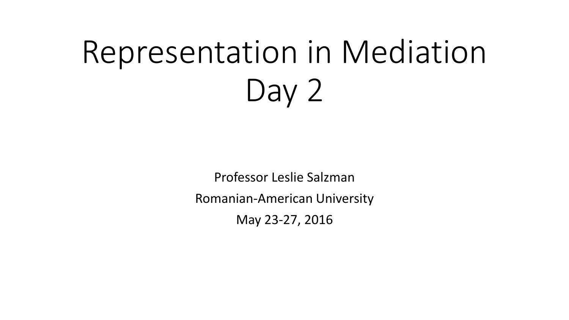# Representation in Mediation Day 2

Professor Leslie Salzman Romanian-American University May 23-27, 2016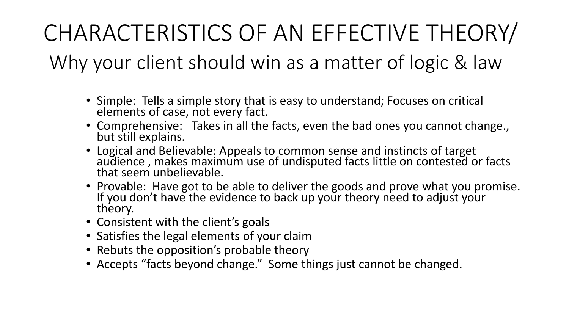# CHARACTERISTICS OF AN EFFECTIVE THEORY/

Why your client should win as a matter of logic & law

- Simple: Tells a simple story that is easy to understand; Focuses on critical elements of case, not every fact.
- Comprehensive: Takes in all the facts, even the bad ones you cannot change., but still explains.
- Logical and Believable: Appeals to common sense and instincts of target audience , makes maximum use of undisputed facts little on contested or facts that seem unbelievable.
- Provable: Have got to be able to deliver the goods and prove what you promise. If you don't have the evidence to back up your theory need to adjust your theory.
- Consistent with the client's goals
- Satisfies the legal elements of your claim
- Rebuts the opposition's probable theory
- Accepts "facts beyond change." Some things just cannot be changed.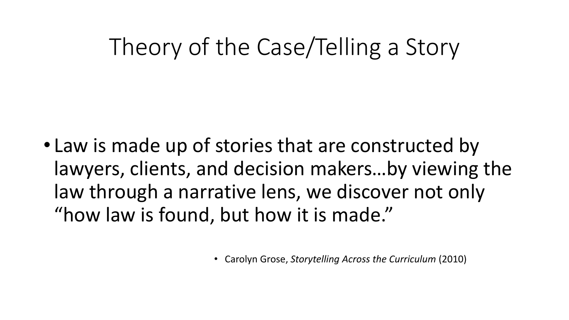## Theory of the Case/Telling a Story

• Law is made up of stories that are constructed by lawyers, clients, and decision makers…by viewing the law through a narrative lens, we discover not only "how law is found, but how it is made."

• Carolyn Grose, *Storytelling Across the Curriculum* (2010)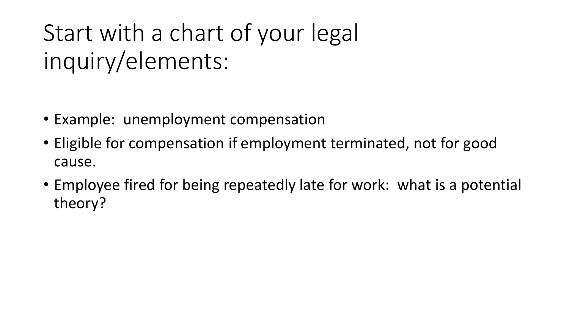# Start with a chart of your legal inquiry/elements:

- Example: unemployment compensation
- Eligible for compensation if employment terminated, not for good cause.
- Employee fired for being repeatedly late for work: what is a potential theory?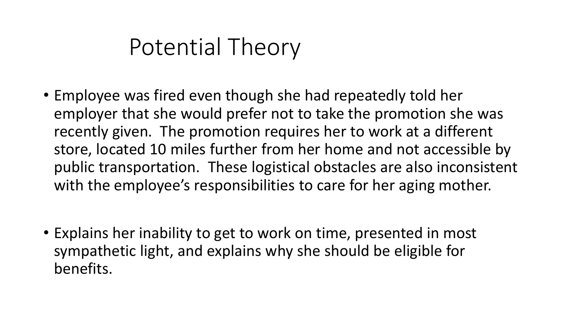#### Potential Theory

- Employee was fired even though she had repeatedly told her employer that she would prefer not to take the promotion she was recently given. The promotion requires her to work at a different store, located 10 miles further from her home and not accessible by public transportation. These logistical obstacles are also inconsistent with the employee's responsibilities to care for her aging mother.
- Explains her inability to get to work on time, presented in most sympathetic light, and explains why she should be eligible for benefits.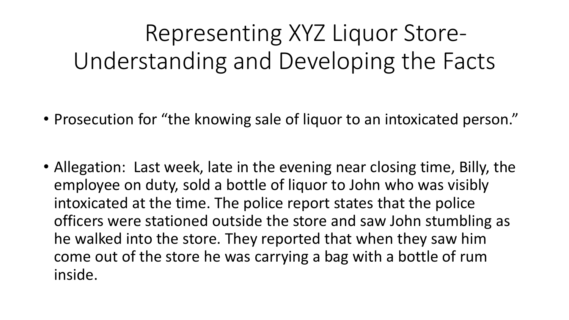# Representing XYZ Liquor Store-Understanding and Developing the Facts

- Prosecution for "the knowing sale of liquor to an intoxicated person."
- Allegation: Last week, late in the evening near closing time, Billy, the employee on duty, sold a bottle of liquor to John who was visibly intoxicated at the time. The police report states that the police officers were stationed outside the store and saw John stumbling as he walked into the store. They reported that when they saw him come out of the store he was carrying a bag with a bottle of rum inside.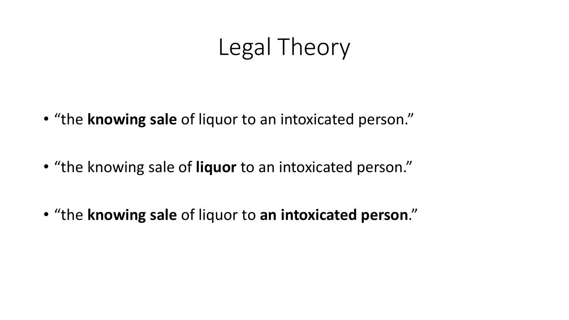### Legal Theory

- "the **knowing sale** of liquor to an intoxicated person."
- "the knowing sale of **liquor** to an intoxicated person."
- "the **knowing sale** of liquor to **an intoxicated person**."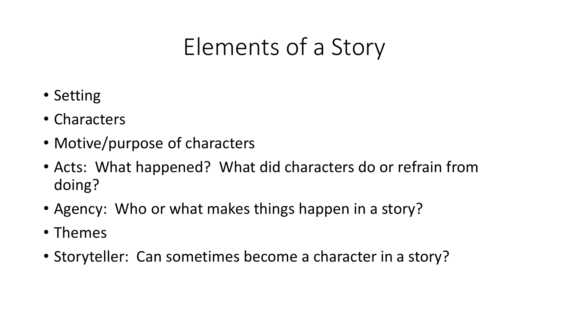## Elements of a Story

- Setting
- Characters
- Motive/purpose of characters
- Acts: What happened? What did characters do or refrain from doing?
- Agency: Who or what makes things happen in a story?
- Themes
- Storyteller: Can sometimes become a character in a story?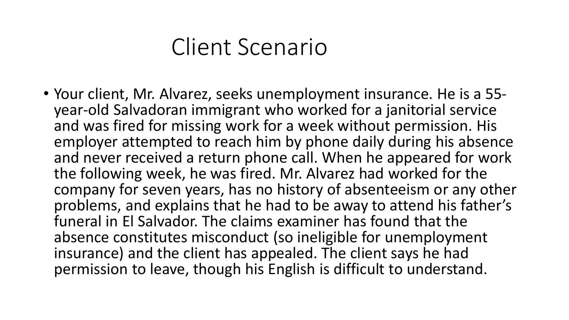#### Client Scenario

• Your client, Mr. Alvarez, seeks unemployment insurance. He is a 55 year-old Salvadoran immigrant who worked for a janitorial service and was fired for missing work for a week without permission. His employer attempted to reach him by phone daily during his absence and never received a return phone call. When he appeared for work the following week, he was fired. Mr. Alvarez had worked for the company for seven years, has no history of absenteeism or any other problems, and explains that he had to be away to attend his father's funeral in El Salvador. The claims examiner has found that the absence constitutes misconduct (so ineligible for unemployment insurance) and the client has appealed. The client says he had permission to leave, though his English is difficult to understand.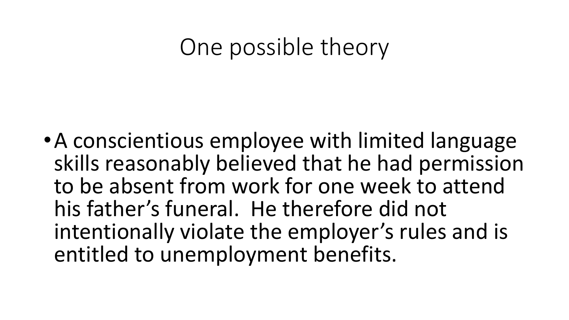#### One possible theory

•A conscientious employee with limited language skills reasonably believed that he had permission to be absent from work for one week to attend his father's funeral. He therefore did not intentionally violate the employer's rules and is entitled to unemployment benefits.